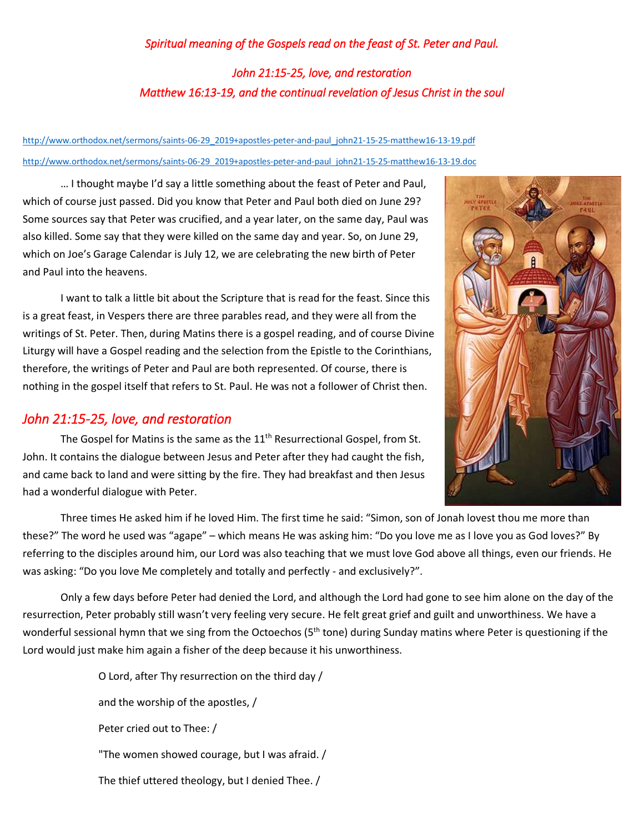## *Spiritual meaning of the Gospels read on the feast of St. Peter and Paul. John 21:15-25, love, and restoration Matthew 16:13-19, and the continual revelation of Jesus Christ in the soul*

## [http://www.orthodox.net/sermons/saints-06-29\\_2019+apostles-peter-and-paul\\_john21-15-25-matthew16-13-19.pdf](https://www.orthodox.net//sermons/saints-06-29_2019+apostles-peter-and-paul_john21-15-25-matthew16-13-19.pdf) [http://www.orthodox.net/sermons/saints-06-29\\_2019+apostles-peter-and-paul\\_john21-15-25-matthew16-13-19.doc](https://www.orthodox.net//sermons/saints-06-29_2019+apostles-peter-and-paul_john21-15-25-matthew16-13-19.doc)

… I thought maybe I'd say a little something about the feast of Peter and Paul, which of course just passed. Did you know that Peter and Paul both died on June 29? Some sources say that Peter was crucified, and a year later, on the same day, Paul was also killed. Some say that they were killed on the same day and year. So, on June 29, which on Joe's Garage Calendar is July 12, we are celebrating the new birth of Peter and Paul into the heavens.

I want to talk a little bit about the Scripture that is read for the feast. Since this is a great feast, in Vespers there are three parables read, and they were all from the writings of St. Peter. Then, during Matins there is a gospel reading, and of course Divine Liturgy will have a Gospel reading and the selection from the Epistle to the Corinthians, therefore, the writings of Peter and Paul are both represented. Of course, there is nothing in the gospel itself that refers to St. Paul. He was not a follower of Christ then.

## *John 21:15-25, love, and restoration*

The Gospel for Matins is the same as the  $11<sup>th</sup>$  Resurrectional Gospel, from St. John. It contains the dialogue between Jesus and Peter after they had caught the fish, and came back to land and were sitting by the fire. They had breakfast and then Jesus had a wonderful dialogue with Peter.



Three times He asked him if he loved Him. The first time he said: "Simon, son of Jonah lovest thou me more than these?" The word he used was "agape" – which means He was asking him: "Do you love me as I love you as God loves?" By referring to the disciples around him, our Lord was also teaching that we must love God above all things, even our friends. He was asking: "Do you love Me completely and totally and perfectly - and exclusively?".

Only a few days before Peter had denied the Lord, and although the Lord had gone to see him alone on the day of the resurrection, Peter probably still wasn't very feeling very secure. He felt great grief and guilt and unworthiness. We have a wonderful sessional hymn that we sing from the Octoechos (5<sup>th</sup> tone) during Sunday matins where Peter is questioning if the Lord would just make him again a fisher of the deep because it his unworthiness.

> O Lord, after Thy resurrection on the third day / and the worship of the apostles, / Peter cried out to Thee: / "The women showed courage, but I was afraid. / The thief uttered theology, but I denied Thee. /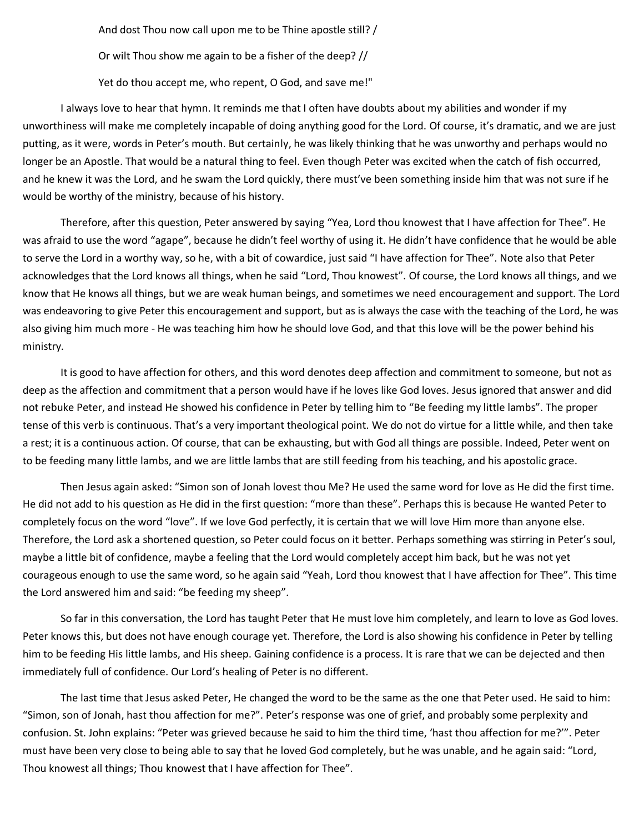And dost Thou now call upon me to be Thine apostle still? /

Or wilt Thou show me again to be a fisher of the deep? //

Yet do thou accept me, who repent, O God, and save me!"

I always love to hear that hymn. It reminds me that I often have doubts about my abilities and wonder if my unworthiness will make me completely incapable of doing anything good for the Lord. Of course, it's dramatic, and we are just putting, as it were, words in Peter's mouth. But certainly, he was likely thinking that he was unworthy and perhaps would no longer be an Apostle. That would be a natural thing to feel. Even though Peter was excited when the catch of fish occurred, and he knew it was the Lord, and he swam the Lord quickly, there must've been something inside him that was not sure if he would be worthy of the ministry, because of his history.

Therefore, after this question, Peter answered by saying "Yea, Lord thou knowest that I have affection for Thee". He was afraid to use the word "agape", because he didn't feel worthy of using it. He didn't have confidence that he would be able to serve the Lord in a worthy way, so he, with a bit of cowardice, just said "I have affection for Thee". Note also that Peter acknowledges that the Lord knows all things, when he said "Lord, Thou knowest". Of course, the Lord knows all things, and we know that He knows all things, but we are weak human beings, and sometimes we need encouragement and support. The Lord was endeavoring to give Peter this encouragement and support, but as is always the case with the teaching of the Lord, he was also giving him much more - He was teaching him how he should love God, and that this love will be the power behind his ministry.

It is good to have affection for others, and this word denotes deep affection and commitment to someone, but not as deep as the affection and commitment that a person would have if he loves like God loves. Jesus ignored that answer and did not rebuke Peter, and instead He showed his confidence in Peter by telling him to "Be feeding my little lambs". The proper tense of this verb is continuous. That's a very important theological point. We do not do virtue for a little while, and then take a rest; it is a continuous action. Of course, that can be exhausting, but with God all things are possible. Indeed, Peter went on to be feeding many little lambs, and we are little lambs that are still feeding from his teaching, and his apostolic grace.

Then Jesus again asked: "Simon son of Jonah lovest thou Me? He used the same word for love as He did the first time. He did not add to his question as He did in the first question: "more than these". Perhaps this is because He wanted Peter to completely focus on the word "love". If we love God perfectly, it is certain that we will love Him more than anyone else. Therefore, the Lord ask a shortened question, so Peter could focus on it better. Perhaps something was stirring in Peter's soul, maybe a little bit of confidence, maybe a feeling that the Lord would completely accept him back, but he was not yet courageous enough to use the same word, so he again said "Yeah, Lord thou knowest that I have affection for Thee". This time the Lord answered him and said: "be feeding my sheep".

So far in this conversation, the Lord has taught Peter that He must love him completely, and learn to love as God loves. Peter knows this, but does not have enough courage yet. Therefore, the Lord is also showing his confidence in Peter by telling him to be feeding His little lambs, and His sheep. Gaining confidence is a process. It is rare that we can be dejected and then immediately full of confidence. Our Lord's healing of Peter is no different.

The last time that Jesus asked Peter, He changed the word to be the same as the one that Peter used. He said to him: "Simon, son of Jonah, hast thou affection for me?". Peter's response was one of grief, and probably some perplexity and confusion. St. John explains: "Peter was grieved because he said to him the third time, 'hast thou affection for me?'". Peter must have been very close to being able to say that he loved God completely, but he was unable, and he again said: "Lord, Thou knowest all things; Thou knowest that I have affection for Thee".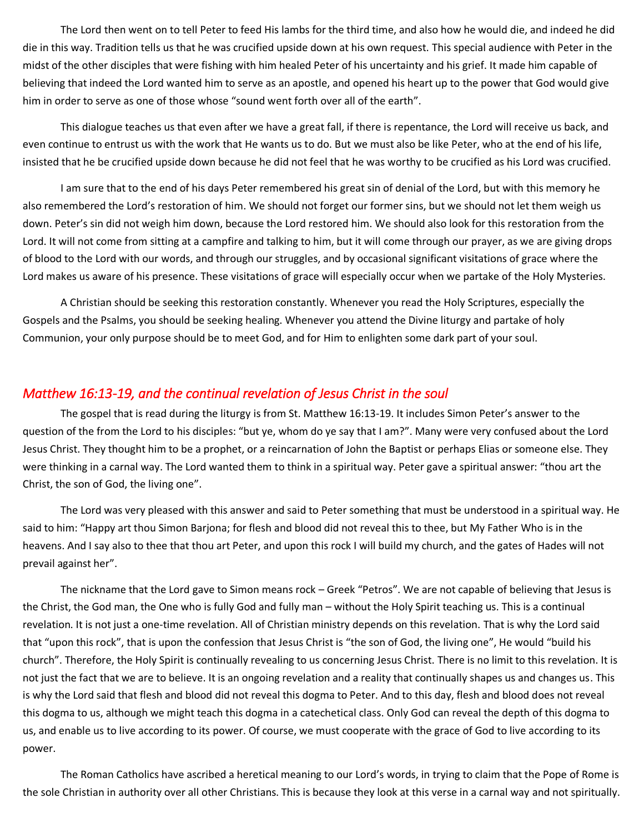The Lord then went on to tell Peter to feed His lambs for the third time, and also how he would die, and indeed he did die in this way. Tradition tells us that he was crucified upside down at his own request. This special audience with Peter in the midst of the other disciples that were fishing with him healed Peter of his uncertainty and his grief. It made him capable of believing that indeed the Lord wanted him to serve as an apostle, and opened his heart up to the power that God would give him in order to serve as one of those whose "sound went forth over all of the earth".

This dialogue teaches us that even after we have a great fall, if there is repentance, the Lord will receive us back, and even continue to entrust us with the work that He wants us to do. But we must also be like Peter, who at the end of his life, insisted that he be crucified upside down because he did not feel that he was worthy to be crucified as his Lord was crucified.

I am sure that to the end of his days Peter remembered his great sin of denial of the Lord, but with this memory he also remembered the Lord's restoration of him. We should not forget our former sins, but we should not let them weigh us down. Peter's sin did not weigh him down, because the Lord restored him. We should also look for this restoration from the Lord. It will not come from sitting at a campfire and talking to him, but it will come through our prayer, as we are giving drops of blood to the Lord with our words, and through our struggles, and by occasional significant visitations of grace where the Lord makes us aware of his presence. These visitations of grace will especially occur when we partake of the Holy Mysteries.

A Christian should be seeking this restoration constantly. Whenever you read the Holy Scriptures, especially the Gospels and the Psalms, you should be seeking healing. Whenever you attend the Divine liturgy and partake of holy Communion, your only purpose should be to meet God, and for Him to enlighten some dark part of your soul.

## *Matthew 16:13-19, and the continual revelation of Jesus Christ in the soul*

The gospel that is read during the liturgy is from St. Matthew 16:13-19. It includes Simon Peter's answer to the question of the from the Lord to his disciples: "but ye, whom do ye say that I am?". Many were very confused about the Lord Jesus Christ. They thought him to be a prophet, or a reincarnation of John the Baptist or perhaps Elias or someone else. They were thinking in a carnal way. The Lord wanted them to think in a spiritual way. Peter gave a spiritual answer: "thou art the Christ, the son of God, the living one".

The Lord was very pleased with this answer and said to Peter something that must be understood in a spiritual way. He said to him: "Happy art thou Simon Barjona; for flesh and blood did not reveal this to thee, but My Father Who is in the heavens. And I say also to thee that thou art Peter, and upon this rock I will build my church, and the gates of Hades will not prevail against her".

The nickname that the Lord gave to Simon means rock – Greek "Petros". We are not capable of believing that Jesus is the Christ, the God man, the One who is fully God and fully man – without the Holy Spirit teaching us. This is a continual revelation. It is not just a one-time revelation. All of Christian ministry depends on this revelation. That is why the Lord said that "upon this rock", that is upon the confession that Jesus Christ is "the son of God, the living one", He would "build his church". Therefore, the Holy Spirit is continually revealing to us concerning Jesus Christ. There is no limit to this revelation. It is not just the fact that we are to believe. It is an ongoing revelation and a reality that continually shapes us and changes us. This is why the Lord said that flesh and blood did not reveal this dogma to Peter. And to this day, flesh and blood does not reveal this dogma to us, although we might teach this dogma in a catechetical class. Only God can reveal the depth of this dogma to us, and enable us to live according to its power. Of course, we must cooperate with the grace of God to live according to its power.

The Roman Catholics have ascribed a heretical meaning to our Lord's words, in trying to claim that the Pope of Rome is the sole Christian in authority over all other Christians. This is because they look at this verse in a carnal way and not spiritually.